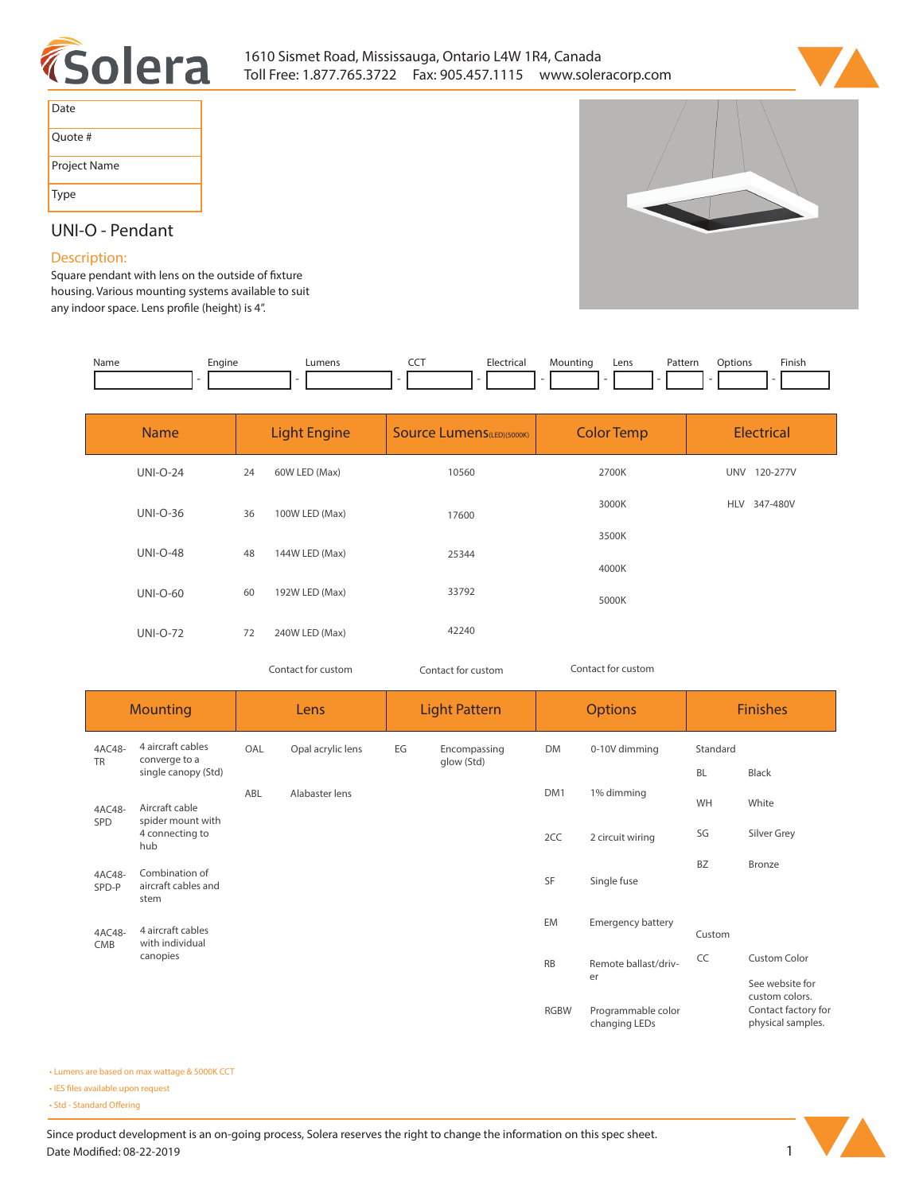



| Date         |
|--------------|
| Ouote #      |
| Project Name |
| Type         |

# **UNI-O - Pendant**

### **Description:**

Square pendant with lens on the outside of fixture **housing. Various mounting systems available to suit**  any indoor space. Lens profile (height) is 4".

| Name | Engine | Lumens | --- | <b>Electrical</b> | Mountino | Lens<br>$- - - -$ | Patterr | )ptions | Finish |
|------|--------|--------|-----|-------------------|----------|-------------------|---------|---------|--------|
|      |        |        |     |                   |          |                   |         |         |        |

| <b>Name</b>     |    | <b>Light Engine</b> | <b>Source Lumens</b> (LED)(5000K) | <b>Color Temp</b> | <b>Electrical</b>      |
|-----------------|----|---------------------|-----------------------------------|-------------------|------------------------|
| <b>UNI-O-24</b> | 24 | 60W LED (Max)       | 10560                             | 2700K             | <b>UNV</b><br>120-277V |
| <b>UNI-O-36</b> | 36 | 100W LED (Max)      | 17600                             | 3000K             | HLV 347-480V           |
| <b>UNI-O-48</b> | 48 | 144W LED (Max)      | 25344                             | 3500K             |                        |
|                 |    |                     |                                   | 4000K             |                        |
| <b>UNI-O-60</b> | 60 | 192W LED (Max)      | 33792                             | 5000K             |                        |
| <b>UNI-O-72</b> | 72 | 240W LED (Max)      | 42240                             |                   |                        |
|                 |    |                     |                                   |                   |                        |

*Contact for custom Contact for custom*

*Contact for custom*

**changing LEDs**

**Mounting 4AC48- CMB 4 aircraft cables with individual canopies Lens Light Pattern Options Finishes EG Encompassing glow (Std) OAL Opal acrylic lens ABL Alabaster lens DM 0-10V dimming DM1 1% dimming 2CC 2 circuit wiring SF Single fuse EM Emergency battery BL Black WH White SG Silver Grey BZ Bronze 4AC48- TR 4 aircraft cables converge to a single canopy (Std) 4AC48- SPD Aircraft cable spider mount with 4 connecting to hub 4AC48- SPD-P Combination of aircraft cables and stem RB Remote ballast/driver CC Custom Color See website for custom colors. Contact factory for physical samples. RGBW Programmable color Standard Custom**

**• Lumens are based on max wattage & 5000K CCT**

**• IES files available upon request** 

• Std - Standard Offering

Since product development is an on-going process, Solera reserves the right to change the information on this spec sheet. Date Modified: 08-22-2019